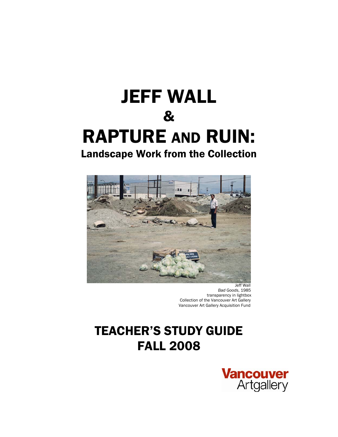# JEFF WALL & RAPTURE AND RUIN: Landscape Work from the Collection



 Jeff Wall *Bad Goods*, 1985 transparency in lightbox Collection of the Vancouver Art Gallery Vancouver Art Gallery Acquisition Fund

## TEACHER'S STUDY GUIDE FALL 2008

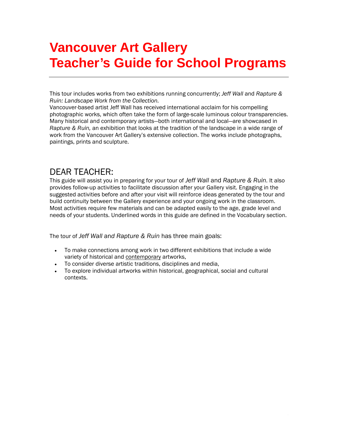## **Vancouver Art Gallery Teacher's Guide for School Programs**

This tour includes works from two exhibitions running concurrently; *Jeff Wall* and *Rapture & Ruin: Landscape Work from the Collection.* 

Vancouver-based artist Jeff Wall has received international acclaim for his compelling photographic works, which often take the form of large-scale luminous colour transparencies. Many historical and contemporary artists—both international and local—are showcased in *Rapture & Ruin,* an exhibition that looks at the tradition of the landscape in a wide range of work from the Vancouver Art Gallery's extensive collection. The works include photographs, paintings, prints and sculpture.

### DEAR TEACHER:

This guide will assist you in preparing for your tour of *Jeff Wall* and *Rapture & Ruin.* It also provides follow-up activities to facilitate discussion after your Gallery visit. Engaging in the suggested activities before and after your visit will reinforce ideas generated by the tour and build continuity between the Gallery experience and your ongoing work in the classroom. Most activities require few materials and can be adapted easily to the age, grade level and needs of your students. Underlined words in this guide are defined in the Vocabulary section.

The tour of *Jeff Wall* an*d Rapture & Ruin* has three main goals:

- To make connections among work in two different exhibitions that include a wide variety of historical and contemporary artworks,
- To consider diverse artistic traditions, disciplines and media,
- To explore individual artworks within historical, geographical, social and cultural contexts.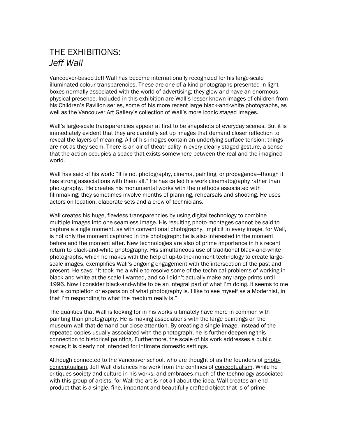### THE EXHIBITIONS: *Jeff Wall*

Vancouver-based Jeff Wall has become internationally recognized for his large-scale illuminated colour transparencies. These are one-of-a-kind photographs presented in lightboxes normally associated with the world of advertising; they glow and have an enormous physical presence. Included in this exhibition are Wall's lesser-known images of children from his Children's Pavilion series, some of his more recent large black-and-white photographs, as well as the Vancouver Art Gallery's collection of Wall's more iconic staged images.

Wall's large-scale transparencies appear at first to be snapshots of everyday scenes. But it is immediately evident that they are carefully set up images that demand closer reflection to reveal the layers of meaning. All of his images contain an underlying surface tension; things are not as they seem. There is an air of theatricality in every clearly staged gesture, a sense that the action occupies a space that exists somewhere between the real and the imagined world.

Wall has said of his work: "It is not photography, cinema, painting, or propaganda—though it has strong associations with them all." He has called his work cinematography rather than photography. He creates his monumental works with the methods associated with filmmaking; they sometimes involve months of planning, rehearsals and shooting. He uses actors on location, elaborate sets and a crew of technicians.

Wall creates his huge, flawless transparencies by using digital technology to combine multiple images into one seamless image. His resulting photo-montages cannot be said to capture a single moment, as with conventional photography. Implicit in every image, for Wall, is not only the moment captured in the photograph; he is also interested in the moment before and the moment after. New technologies are also of prime importance in his recent return to black-and-white photography. His simultaneous use of traditional black-and-white photographs, which he makes with the help of up-to-the-moment technology to create largescale images, exemplifies Wall's ongoing engagement with the intersection of the past and present. He says: "It took me a while to resolve some of the technical problems of working in black-and-white at the scale I wanted, and so I didn't actually make any large prints until 1996. Now I consider black-and-white to be an integral part of what I'm doing. It seems to me just a completion or expansion of what photography is. I like to see myself as a Modernist, in that I'm responding to what the medium really is."

The qualities that Wall is looking for in his works ultimately have more in common with painting than photography. He is making associations with the large paintings on the museum wall that demand our close attention. By creating a single image, instead of the repeated copies usually associated with the photograph, he is further deepening this connection to historical painting. Furthermore, the scale of his work addresses a public space; it is clearly not intended for intimate domestic settings.

Although connected to the Vancouver school, who are thought of as the founders of photoconceptualism, Jeff Wall distances his work from the confines of conceptualism. While he critiques society and culture in his works, and embraces much of the technology associated with this group of artists, for Wall the art is not all about the idea. Wall creates an end product that is a single, fine, important and beautifully crafted object that is of prime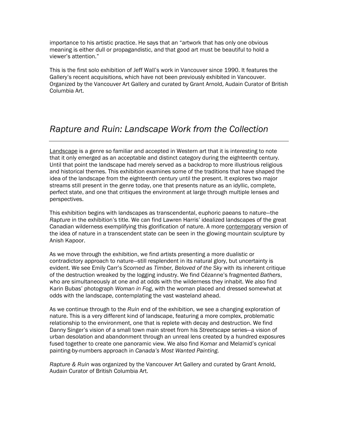importance to his artistic practice. He says that an "artwork that has only one obvious meaning is either dull or propagandistic, and that good art must be beautiful to hold a viewer's attention."

This is the first solo exhibition of Jeff Wall's work in Vancouver since 1990. It features the Gallery's recent acquisitions, which have not been previously exhibited in Vancouver. Organized by the Vancouver Art Gallery and curated by Grant Arnold, Audain Curator of British Columbia Art.

### *Rapture and Ruin: Landscape Work from the Collection*

Landscape is a genre so familiar and accepted in Western art that it is interesting to note that it only emerged as an acceptable and distinct category during the eighteenth century. Until that point the landscape had merely served as a backdrop to more illustrious religious and historical themes. This exhibition examines some of the traditions that have shaped the idea of the landscape from the eighteenth century until the present. It explores two major streams still present in the genre today, one that presents nature as an idyllic, complete, perfect state, and one that critiques the environment at large through multiple lenses and perspectives.

This exhibition begins with landscapes as transcendental, euphoric paeans to nature—the *Rapture* in the exhibition's title. We can find Lawren Harris' idealized landscapes of the great Canadian wilderness exemplifying this glorification of nature. A more contemporary version of the idea of nature in a transcendent state can be seen in the glowing mountain sculpture by Anish Kapoor.

As we move through the exhibition, we find artists presenting a more dualistic or contradictory approach to nature—still resplendent in its natural glory, but uncertainty is evident. We see Emily Carr's *Scorned as Timber, Beloved of the Sky* with its inherent critique of the destruction wreaked by the logging industry. We find Cézanne's fragmented *Bathers*, who are simultaneously at one and at odds with the wilderness they inhabit. We also find Karin Bubas' photograph *Woman in Fog*, with the woman placed and dressed somewhat at odds with the landscape, contemplating the vast wasteland ahead.

As we continue through to the *Ruin* end of the exhibition, we see a changing exploration of nature. This is a very different kind of landscape, featuring a more complex, problematic relationship to the environment, one that is replete with decay and destruction. We find Danny Singer's vision of a small town main street from his *Streetscape* series—a vision of urban desolation and abandonment through an unreal lens created by a hundred exposures fused together to create one panoramic view. We also find Komar and Melamid's cynical painting-by-numbers approach in *Canada's Most Wanted Painting*.

*Rapture & Ruin* was organized by the Vancouver Art Gallery and curated by Grant Arnold, Audain Curator of British Columbia Art.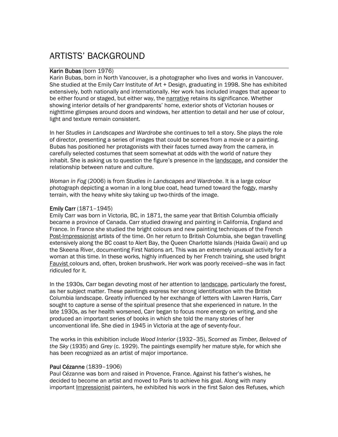### ARTISTS' BACKGROUND

#### Karin Bubas (born 1976)

Karin Bubas, born in North Vancouver, is a photographer who lives and works in Vancouver. She studied at the Emily Carr Institute of Art + Design, graduating in 1998. She has exhibited extensively, both nationally and internationally. Her work has included images that appear to be either found or staged, but either way, the narrative retains its significance. Whether showing interior details of her grandparents' home, exterior shots of Victorian houses or nighttime glimpses around doors and windows, her attention to detail and her use of colour, light and texture remain consistent.

In her *Studies in Landscapes and Wardrobe* she continues to tell a story. She plays the role of director, presenting a series of images that could be scenes from a movie or a painting. Bubas has positioned her protagonists with their faces turned away from the camera, in carefully selected costumes that seem somewhat at odds with the world of nature they inhabit. She is asking us to question the figure's presence in the landscape, and consider the relationship between nature and culture.

*Woman in Fog* (2006) is from *Studies in Landscapes and Wardrobe*. It is a large colour photograph depicting a woman in a long blue coat, head turned toward the foggy, marshy terrain, with the heavy white sky taking up two-thirds of the image.

#### Emily Carr (1871–1945)

Emily Carr was born in Victoria, BC, in 1871, the same year that British Columbia officially became a province of Canada. Carr studied drawing and painting in California, England and France. In France she studied the bright colours and new painting techniques of the French Post-Impressionist artists of the time. On her return to British Columbia, she began travelling extensively along the BC coast to Alert Bay, the Queen Charlotte Islands (Haida Gwaii) and up the Skeena River, documenting First Nations art. This was an extremely unusual activity for a woman at this time. In these works, highly influenced by her French training, she used bright Fauvist colours and, often, broken brushwork. Her work was poorly received—she was in fact ridiculed for it.

In the 1930s, Carr began devoting most of her attention to landscape, particularly the forest, as her subject matter. These paintings express her strong identification with the British Columbia landscape. Greatly influenced by her exchange of letters with Lawren Harris, Carr sought to capture a sense of the spiritual presence that she experienced in nature. In the late 1930s, as her health worsened, Carr began to focus more energy on writing, and she produced an important series of books in which she told the many stories of her unconventional life. She died in 1945 in Victoria at the age of seventy-four.

The works in this exhibition include *Wood Interior* (1932–35), *Scorned as Timber, Beloved of the Sky* (1935) and *Grey* (c. 1929). The paintings exemplify her mature style, for which she has been recognized as an artist of major importance.

#### Paul Cézanne (1839–1906)

Paul Cézanne was born and raised in Provence, France. Against his father's wishes, he decided to become an artist and moved to Paris to achieve his goal. Along with many important Impressionist painters, he exhibited his work in the first Salon des Refuses, which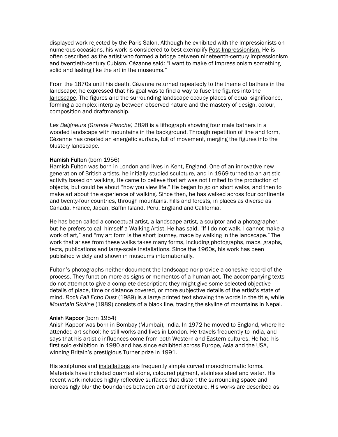displayed work rejected by the Paris Salon. Although he exhibited with the Impressionists on numerous occasions, his work is considered to best exemplify Post-Impressionism. He is often described as the artist who formed a bridge between nineteenth-century Impressionism and twentieth-century Cubism. Cézanne said: "I want to make of Impressionism something solid and lasting like the art in the museums."

From the 1870s until his death, Cézanne returned repeatedly to the theme of bathers in the landscape; he expressed that his goal was to find a way to fuse the figures into the landscape. The figures and the surrounding landscape occupy places of equal significance, forming a complex interplay between observed nature and the mastery of design, colour, composition and draftmanship.

*Les Baigneurs (Grande Planche) 1898* is a lithograph showing four male bathers in a wooded landscape with mountains in the background. Through repetition of line and form, Cézanne has created an energetic surface, full of movement, merging the figures into the blustery landscape.

#### Hamish Fulton (born 1956)

Hamish Fulton was born in London and lives in Kent, England. One of an innovative new generation of British artists, he initially studied sculpture, and in 1969 turned to an artistic activity based on walking. He came to believe that art was not limited to the production of objects, but could be about "how you view life." He began to go on short walks, and then to make art about the experience of walking. Since then, he has walked across four continents and twenty-four countries, through mountains, hills and forests, in places as diverse as Canada, France, Japan, Baffin Island, Peru, England and California.

He has been called a conceptual artist, a landscape artist, a sculptor and a photographer, but he prefers to call himself a Walking Artist. He has said, "If I do not walk, I cannot make a work of art," and "my art form is the short journey, made by walking in the landscape." The work that arises from these walks takes many forms, including photographs, maps, graphs, texts, publications and large-scale installations. Since the 1960s, his work has been published widely and shown in museums internationally.

Fulton's photographs neither document the landscape nor provide a cohesive record of the process. They function more as signs or mementos of a human act. The accompanying texts do not attempt to give a complete description; they might give some selected objective details of place, time or distance covered, or more subjective details of the artist's state of mind. *Rock Fall Echo Dust* (1989) is a large printed text showing the words in the title, while *Mountain Skyline* (1989) consists of a black line, tracing the skyline of mountains in Nepal.

#### Anish Kapoor (born 1954)

Anish Kapoor was born in Bombay (Mumbai), India. In 1972 he moved to England, where he attended art school; he still works and lives in London. He travels frequently to India, and says that his artistic influences come from both Western and Eastern cultures. He had his first solo exhibition in 1980 and has since exhibited across Europe, Asia and the USA, winning Britain's prestigious Turner prize in 1991.

His sculptures and installations are frequently simple curved monochromatic forms. Materials have included quarried stone, coloured pigment, stainless steel and water. His recent work includes highly reflective surfaces that distort the surrounding space and increasingly blur the boundaries between art and architecture. His works are described as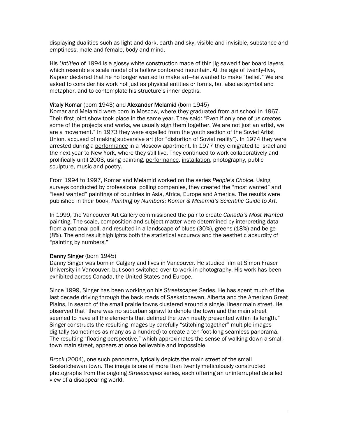displaying dualities such as light and dark, earth and sky, visible and invisible, substance and emptiness, male and female, body and mind.

His *Untitled* of 1994 is a glossy white construction made of thin jig sawed fiber board layers, which resemble a scale model of a hollow contoured mountain. At the age of twenty-five, Kapoor declared that he no longer wanted to make art—he wanted to make "belief." We are asked to consider his work not just as physical entities or forms, but also as symbol and metaphor, and to contemplate his structure's inner depths.

#### Vitaly Komar (born 1943) and Alexander Melamid (born 1945)

Komar and Melamid were born in Moscow, where they graduated from art school in 1967. Their first joint show took place in the same year. They said: "Even if only one of us creates some of the projects and works, we usually sign them together. We are not just an artist, we are a movement." In 1973 they were expelled from the youth section of the Soviet Artist Union, accused of making subversive art (for "distortion of Soviet reality"). In 1974 they were arrested during a performance in a Moscow apartment. In 1977 they emigrated to Israel and the next year to New York, where they still live. They continued to work collaboratively and prolifically until 2003, using painting, performance, installation, photography, public sculpture, music and poetry.

From 1994 to 1997, Komar and Melamid worked on the series *People's Choice*. Using surveys conducted by professional polling companies, they created the "most wanted" and "least wanted" paintings of countries in Asia, Africa, Europe and America. The results were published in their book, *Painting by Numbers: Komar & Melamid's Scientific Guide to Art.*

In 1999, the Vancouver Art Gallery commissioned the pair to create *Canada's Most Wanted*  painting. The scale, composition and subject matter were determined by interpreting data from a national poll, and resulted in a landscape of blues (30%), greens (18%) and beige (8%). The end result highlights both the statistical accuracy and the aesthetic absurdity of "painting by numbers."

#### Danny Singer (born 1945)

Danny Singer was born in Calgary and lives in Vancouver. He studied film at Simon Fraser University in Vancouver, but soon switched over to work in photography. His work has been exhibited across Canada, the United States and Europe.

Since 1999, Singer has been working on his *Streetscapes* Series. He has spent much of the last decade driving through the back roads of Saskatchewan, Alberta and the American Great Plains, in search of the small prairie towns clustered around a single, linear main street. He observed that "there was no suburban sprawl to denote the town and the main street seemed to have all the elements that defined the town neatly presented within its length." Singer constructs the resulting images by carefully "stitching together" multiple images digitally (sometimes as many as a hundred) to create a ten-foot-long seamless panorama. The resulting "floating perspective," which approximates the sense of walking down a smalltown main street, appears at once believable and impossible.

*Brock* (2004), one such panorama, lyrically depicts the main street of the small Saskatchewan town. The image is one of more than twenty meticulously constructed photographs from the ongoing *Streetscapes* series, each offering an uninterrupted detailed view of a disappearing world.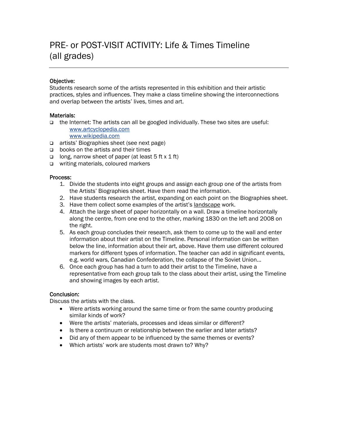### PRE- or POST-VISIT ACTIVITY: Life & Times Timeline (all grades)

#### Objective:

Students research some of the artists represented in this exhibition and their artistic practices, styles and influences. They make a class timeline showing the interconnections and overlap between the artists' lives, times and art.

#### Materials:

- $\Box$  the Internet: The artists can all be googled individually. These two sites are useful: [www.artcyclopedia.com](http://www.artcyclopedia.com/)
	- [www.wikipedia.com](http://www.wikipedia.com/)
- □ artists' Biographies sheet (see next page)
- $\Box$  books on the artists and their times
- $\Box$  long, narrow sheet of paper (at least 5 ft x 1 ft)
- □ writing materials, coloured markers

#### Process:

- 1. Divide the students into eight groups and assign each group one of the artists from the Artists' Biographies sheet. Have them read the information.
- 2. Have students research the artist, expanding on each point on the Biographies sheet.
- 3. Have them collect some examples of the artist's landscape work.
- 4. Attach the large sheet of paper horizontally on a wall. Draw a timeline horizontally along the centre, from one end to the other, marking 1830 on the left and 2008 on the right.
- 5. As each group concludes their research, ask them to come up to the wall and enter information about their artist on the Timeline. Personal information can be written below the line, information about their art, above. Have them use different coloured markers for different types of information. The teacher can add in significant events, e.g. world wars, Canadian Confederation, the collapse of the Soviet Union...
- 6. Once each group has had a turn to add their artist to the Timeline, have a representative from each group talk to the class about their artist, using the Timeline and showing images by each artist.

#### Conclusion:

Discuss the artists with the class.

- Were artists working around the same time or from the same country producing similar kinds of work?
- Were the artists' materials, processes and ideas similar or different?
- Is there a continuum or relationship between the earlier and later artists?
- Did any of them appear to be influenced by the same themes or events?
- Which artists' work are students most drawn to? Why?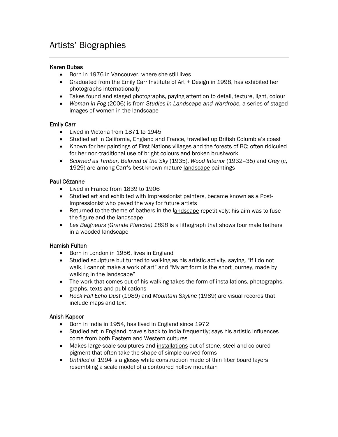### Artists' Biographies

#### Karen Bubas

- Born in 1976 in Vancouver, where she still lives
- Graduated from the Emily Carr Institute of Art + Design in 1998, has exhibited her photographs internationally
- Takes found and staged photographs, paying attention to detail, texture, light, colour
- *Woman in Fog* (2006) is from *Studies in Landscape and Wardrobe,* a series of staged images of women in the landscape

#### Emily Carr

- Lived in Victoria from 1871 to 1945
- Studied art in California, England and France, travelled up British Columbia's coast
- Known for her paintings of First Nations villages and the forests of BC; often ridiculed for her non-traditional use of bright colours and broken brushwork
- *Scorned as Timber, Beloved of the Sky* (1935), *Wood Interior* (1932–35) and *Grey* (c, 1929) are among Carr's best-known mature landscape paintings

#### Paul Cézanne

- Lived in France from 1839 to 1906
- Studied art and exhibited with Impressionist painters, became known as a Post-Impressionist who paved the way for future artists
- Returned to the theme of bathers in the landscape repetitively; his aim was to fuse the figure and the landscape
- *Les Baigneurs (Grande Planche) 1898* is a lithograph that shows four male bathers in a wooded landscape

#### Hamish Fulton

- Born in London in 1956, lives in England
- Studied sculpture but turned to walking as his artistic activity, saying, "If I do not walk, I cannot make a work of art" and "My art form is the short journey, made by walking in the landscape"
- The work that comes out of his walking takes the form of installations, photographs, graphs, texts and publications
- *Rock Fall Echo Dust* (1989) and *Mountain Skyline* (1989) are visual records that include maps and text

#### Anish Kapoor

- Born in India in 1954, has lived in England since 1972
- Studied art in England, travels back to India frequently; says his artistic influences come from both Eastern and Western cultures
- Makes large-scale sculptures and installations out of stone, steel and coloured pigment that often take the shape of simple curved forms
- *Untitled* of 1994 is a glossy white construction made of thin fiber board layers resembling a scale model of a contoured hollow mountain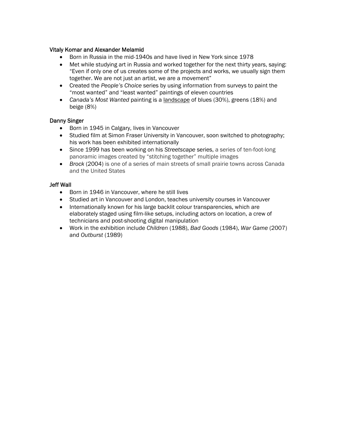#### Vitaly Komar and Alexander Melamid

- Born in Russia in the mid-1940s and have lived in New York since 1978
- Met while studying art in Russia and worked together for the next thirty years, saying: "Even if only one of us creates some of the projects and works, we usually sign them together. We are not just an artist, we are a movement"
- Created the *People's Choice* series by using information from surveys to paint the "most wanted" and "least wanted" paintings of eleven countries
- *Canada's Most Wanted* painting is a landscape of blues (30%), greens (18%) and beige (8%)

#### Danny Singer

- Born in 1945 in Calgary, lives in Vancouver
- Studied film at Simon Fraser University in Vancouver, soon switched to photography; his work has been exhibited internationally
- Since 1999 has been working on his *Streetscape* series, a series of ten-foot-long panoramic images created by "stitching together" multiple images
- *Brock* (2004) is one of a series of main streets of small prairie towns across Canada and the United States

#### Jeff Wall

- Born in 1946 in Vancouver, where he still lives
- Studied art in Vancouver and London, teaches university courses in Vancouver
- Internationally known for his large backlit colour transparencies, which are elaborately staged using film-like setups, including actors on location, a crew of technicians and post-shooting digital manipulation
- Work in the exhibition include *Children* (1988), *Bad Goods* (1984), *War Game* (2007) and *Outburst* (1989)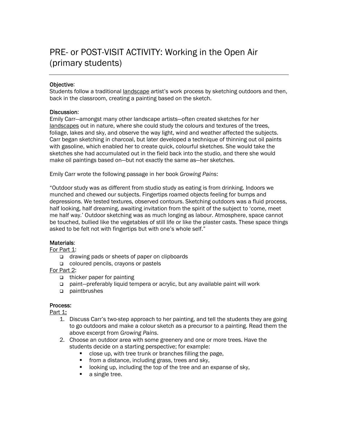### PRE- or POST-VISIT ACTIVITY: Working in the Open Air (primary students)

#### Objective:

Students follow a traditional landscape artist's work process by sketching outdoors and then, back in the classroom, creating a painting based on the sketch.

#### Discussion:

Emily Carr—amongst many other landscape artists—often created sketches for her landscapes out in nature, where she could study the colours and textures of the trees, foliage, lakes and sky, and observe the way light, wind and weather affected the subjects. Carr began sketching in charcoal, but later developed a technique of thinning out oil paints with gasoline, which enabled her to create quick, colourful sketches. She would take the sketches she had accumulated out in the field back into the studio, and there she would make oil paintings based on—but not exactly the same as—her sketches.

Emily Carr wrote the following passage in her book *Growing Pains*:

"Outdoor study was as different from studio study as eating is from drinking. Indoors we munched and chewed our subjects. Fingertips roamed objects feeling for bumps and depressions. We tested textures, observed contours. Sketching outdoors was a fluid process, half looking, half dreaming, awaiting invitation from the spirit of the subject to 'come, meet me half way.' Outdoor sketching was as much longing as labour. Atmosphere, space cannot be touched, bullied like the vegetables of still life or like the plaster casts. These space things asked to be felt not with fingertips but with one's whole self."

#### Materials:

For Part 1:

- □ drawing pads or sheets of paper on clipboards
- coloured pencils, crayons or pastels
- For Part 2:
	- $\Box$  thicker paper for painting
	- paint—preferably liquid tempera or acrylic, but any available paint will work
	- paintbrushes

#### Process:

Part 1:

- 1. Discuss Carr's two-step approach to her painting, and tell the students they are going to go outdoors and make a colour sketch as a precursor to a painting. Read them the above excerpt from *Growing Pains*.
- 2. Choose an outdoor area with some greenery and one or more trees. Have the students decide on a starting perspective; for example:
	- close up, with tree trunk or branches filling the page,
	- **from a distance, including grass, trees and sky,**
	- looking up, including the top of the tree and an expanse of sky,
	- **a** single tree.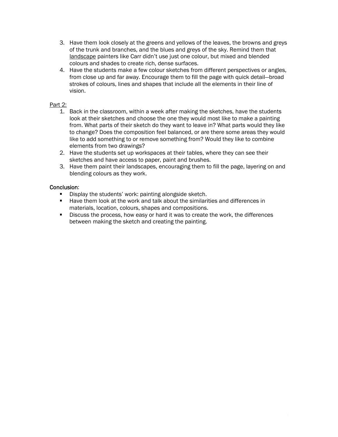- 3. Have them look closely at the greens and yellows of the leaves, the browns and greys of the trunk and branches, and the blues and greys of the sky. Remind them that landscape painters like Carr didn't use just one colour, but mixed and blended colours and shades to create rich, dense surfaces.
- 4. Have the students make a few colour sketches from different perspectives or angles, from close up and far away. Encourage them to fill the page with quick detail—broad strokes of colours, lines and shapes that include all the elements in their line of vision.

#### Part 2:

- 1. Back in the classroom, within a week after making the sketches, have the students look at their sketches and choose the one they would most like to make a painting from. What parts of their sketch do they want to leave in? What parts would they like to change? Does the composition feel balanced, or are there some areas they would like to add something to or remove something from? Would they like to combine elements from two drawings?
- 2. Have the students set up workspaces at their tables, where they can see their sketches and have access to paper, paint and brushes.
- 3. Have them paint their landscapes, encouraging them to fill the page, layering on and blending colours as they work.

#### Conclusion:

- Display the students' work: painting alongside sketch.
- **Have them look at the work and talk about the similarities and differences in** materials, location, colours, shapes and compositions.
- Discuss the process, how easy or hard it was to create the work, the differences between making the sketch and creating the painting.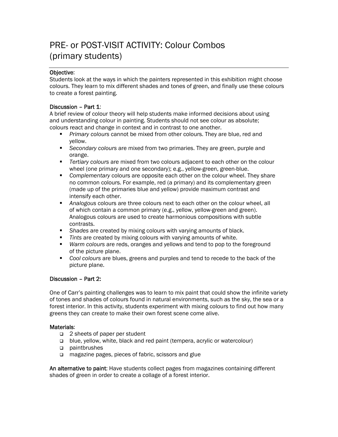### PRE- or POST-VISIT ACTIVITY: Colour Combos (primary students)

#### Objective:

Students look at the ways in which the painters represented in this exhibition might choose colours. They learn to mix different shades and tones of green, and finally use these colours to create a forest painting.

#### Discussion – Part 1:

A brief review of colour theory will help students make informed decisions about using and understanding colour in painting. Students should not see colour as absolute; colours react and change in context and in contrast to one another.

- *Primary colours* cannot be mixed from other colours. They are blue, red and yellow.
- *Secondary colours* are mixed from two primaries. They are green, purple and orange.
- *Tertiary colours* are mixed from two colours adjacent to each other on the colour wheel (one primary and one secondary); e.g., yellow-green, green-blue.
- *Complementary* colours are opposite each other on the colour wheel. They share no common colours. For example, red (a primary) and its complementary green (made up of the primaries blue and yellow) provide maximum contrast and intensify each other.
- *Analogous* colours are three colours next to each other on the colour wheel, all of which contain a common primary (e.g., yellow, yellow-green and green). Analogous colours are used to create harmonious compositions with subtle contrasts.
- *Shades* are created by mixing colours with varying amounts of black.
- *Tints* are created by mixing colours with varying amounts of white.
- *Warm colours* are reds, oranges and yellows and tend to pop to the foreground of the picture plane.
- *Cool colours* are blues, greens and purples and tend to recede to the back of the picture plane.

#### Discussion – Part 2:

One of Carr's painting challenges was to learn to mix paint that could show the infinite variety of tones and shades of colours found in natural environments, such as the sky, the sea or a forest interior. In this activity, students experiment with mixing colours to find out how many greens they can create to make their own forest scene come alive.

#### Materials:

- □ 2 sheets of paper per student
- blue, yellow, white, black and red paint (tempera, acrylic or watercolour)
- paintbrushes
- magazine pages, pieces of fabric, scissors and glue

An alternative to paint: Have students collect pages from magazines containing different shades of green in order to create a collage of a forest interior.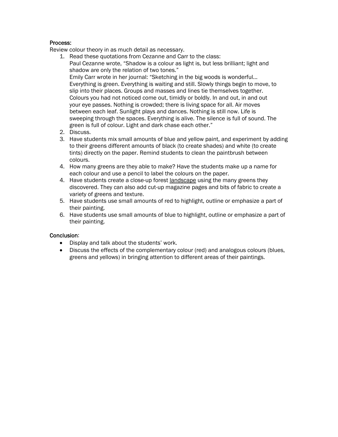#### Process:

Review colour theory in as much detail as necessary.

- 1. Read these quotations from Cezanne and Carr to the class: Paul Cezanne wrote, "Shadow is a colour as light is, but less brilliant; light and shadow are only the relation of two tones." Emily Carr wrote in her journal: "Sketching in the big woods is wonderful… Everything is green. Everything is waiting and still. Slowly things begin to move, to slip into their places. Groups and masses and lines tie themselves together. Colours you had not noticed come out, timidly or boldly. In and out, in and out your eye passes. Nothing is crowded; there is living space for all. Air moves between each leaf. Sunlight plays and dances. Nothing is still now. Life is sweeping through the spaces. Everything is alive. The silence is full of sound. The green is full of colour. Light and dark chase each other."
- 2. Discuss.
- 3. Have students mix small amounts of blue and yellow paint, and experiment by adding to their greens different amounts of black (to create shades) and white (to create tints) directly on the paper. Remind students to clean the paintbrush between colours.
- 4. How many greens are they able to make? Have the students make up a name for each colour and use a pencil to label the colours on the paper.
- 4. Have students create a close-up forest landscape using the many greens they discovered. They can also add cut-up magazine pages and bits of fabric to create a variety of greens and texture.
- 5. Have students use small amounts of red to highlight, outline or emphasize a part of their painting.
- 6. Have students use small amounts of blue to highlight, outline or emphasize a part of their painting.

#### Conclusion:

- Display and talk about the students' work.
- Discuss the effects of the complementary colour (red) and analogous colours (blues, greens and yellows) in bringing attention to different areas of their paintings.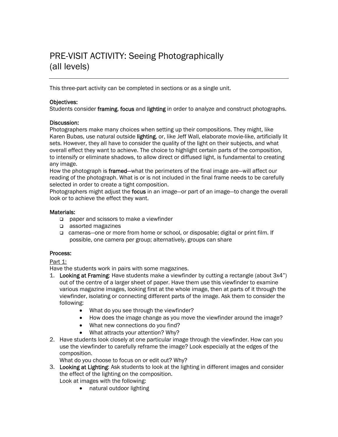### PRE-VISIT ACTIVITY: Seeing Photographically (all levels)

This three-part activity can be completed in sections or as a single unit.

#### Objectives:

Students consider framing, focus and lighting in order to analyze and construct photographs.

#### Discussion:

Photographers make many choices when setting up their compositions. They might, like Karen Bubas, use natural outside lighting, or, like Jeff Wall, elaborate movie-like, artificially lit sets. However, they all have to consider the quality of the light on their subjects, and what overall effect they want to achieve. The choice to highlight certain parts of the composition, to intensify or eliminate shadows, to allow direct or diffused light, is fundamental to creating any image.

How the photograph is framed—what the perimeters of the final image are—will affect our reading of the photograph. What is or is not included in the final frame needs to be carefully selected in order to create a tight composition.

Photographers might adjust the focus in an image—or part of an image—to change the overall look or to achieve the effect they want.

#### Materials:

- □ paper and scissors to make a viewfinder
- assorted magazines
- cameras—one or more from home or school, or disposable; digital or print film. If possible, one camera per group; alternatively, groups can share

#### Process:

#### Part 1:

Have the students work in pairs with some magazines.

- 1. Looking at Framing: Have students make a viewfinder by cutting a rectangle (about 3x4") out of the centre of a larger sheet of paper. Have them use this viewfinder to examine various magazine images, looking first at the whole image, then at parts of it through the viewfinder, isolating or connecting different parts of the image. Ask them to consider the following:
	- What do you see through the viewfinder?
	- How does the image change as you move the viewfinder around the image?
	- What new connections do you find?
	- What attracts your attention? Why?
- 2. Have students look closely at one particular image through the viewfinder. How can you use the viewfinder to carefully reframe the image? Look especially at the edges of the composition.

What do you choose to focus on or edit out? Why?

- 3. Looking at Lighting: Ask students to look at the lighting in different images and consider the effect of the lighting on the composition.
	- Look at images with the following:
		- natural outdoor lighting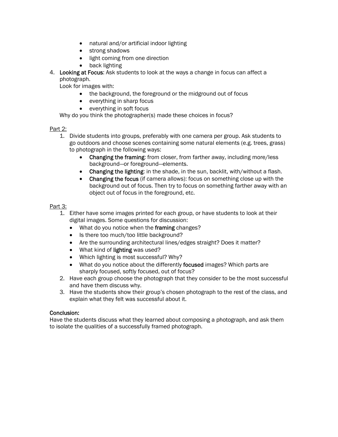- natural and/or artificial indoor lighting
- strong shadows
- light coming from one direction
- back lighting
- 4. Looking at Focus: Ask students to look at the ways a change in focus can affect a photograph.

Look for images with:

- the background, the foreground or the midground out of focus
- everything in sharp focus
- everything in soft focus

Why do you think the photographer(s) made these choices in focus?

#### Part 2:

- 1. Divide students into groups, preferably with one camera per group. Ask students to go outdoors and choose scenes containing some natural elements (e.g. trees, grass) to photograph in the following ways:
	- Changing the framing: from closer, from farther away, including more/less background—or foreground—elements.
	- Changing the lighting: in the shade, in the sun, backlit, with/without a flash.
	- Changing the focus (if camera allows): focus on something close up with the background out of focus. Then try to focus on something farther away with an object out of focus in the foreground, etc.

#### Part 3:

- 1. Either have some images printed for each group, or have students to look at their digital images. Some questions for discussion:
	- What do you notice when the framing changes?
	- Is there too much/too little background?
	- Are the surrounding architectural lines/edges straight? Does it matter?
	- What kind of lighting was used?
	- Which lighting is most successful? Why?
	- What do you notice about the differently focused images? Which parts are sharply focused, softly focused, out of focus?
- 2. Have each group choose the photograph that they consider to be the most successful and have them discuss why.
- 3. Have the students show their group's chosen photograph to the rest of the class, and explain what they felt was successful about it.

#### Conclusion:

Have the students discuss what they learned about composing a photograph, and ask them to isolate the qualities of a successfully framed photograph.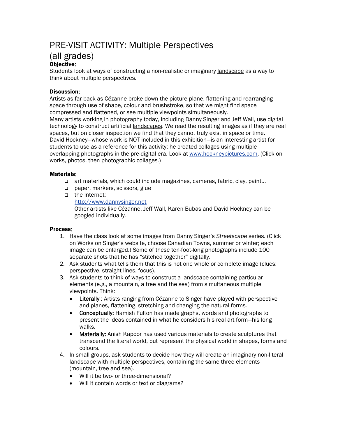### PRE-VISIT ACTIVITY: Multiple Perspectives

### (all grades)

#### Objective:

Students look at ways of constructing a non-realistic or imaginary landscape as a way to think about multiple perspectives.

#### Discussion:

Artists as far back as Cézanne broke down the picture plane, flattening and rearranging space through use of shape, colour and brushstroke, so that we might find space compressed and flattened, or see multiple viewpoints simultaneously. Many artists working in photography today, including Danny Singer and Jeff Wall, use digital technology to construct artificial landscapes. We read the resulting images as if they are real spaces, but on closer inspection we find that they cannot truly exist in space or time. David Hockney—whose work is NOT included in this exhibition—is an interesting artist for students to use as a reference for this activity; he created collages using multiple overlapping photographs in the pre-digital era. Look at [www.hockneypictures.com.](http://www.hockneypictures.com/) (Click on works, photos, then photographic collages.)

#### Materials:

- art materials, which could include magazines, cameras, fabric, clay, paint...
- paper, markers, scissors, glue
- the Internet: [http://www.dannysinger.net](http://www.dannysinger.net/) Other artists like Cézanne, Jeff Wall, Karen Bubas and David Hockney can be googled individually.

#### Process:

- 1. Have the class look at some images from Danny Singer's *Streetscape* series. (Click on Works on Singer's website, choose Canadian Towns, summer or winter; each image can be enlarged.) Some of these ten-foot-long photographs include 100 separate shots that he has "stitched together" digitally.
- 2. Ask students what tells them that this is not one whole or complete image (clues: perspective, straight lines, focus).
- 3. Ask students to think of ways to construct a landscape containing particular elements (e.g., a mountain, a tree and the sea) from simultaneous multiple viewpoints. Think:
	- Literally: Artists ranging from Cézanne to Singer have played with perspective and planes, flattening, stretching and changing the natural forms.
	- Conceptually: Hamish Fulton has made graphs, words and photographs to present the ideas contained in what he considers his real art form—his long walks.
	- Materially: Anish Kapoor has used various materials to create sculptures that transcend the literal world, but represent the physical world in shapes, forms and colours.
- 4. In small groups, ask students to decide how they will create an imaginary non-literal landscape with multiple perspectives, containing the same three elements (mountain, tree and sea).
	- Will it be two- or three-dimensional?
	- Will it contain words or text or diagrams?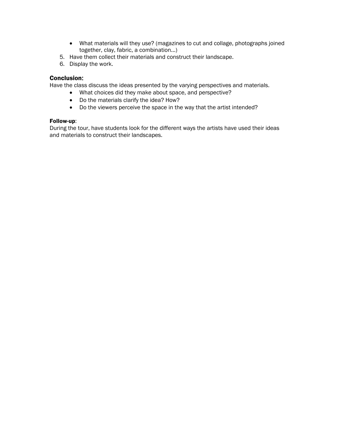- What materials will they use? (magazines to cut and collage, photographs joined together, clay, fabric, a combination...)
- 5. Have them collect their materials and construct their landscape.
- 6. Display the work.

#### Conclusion:

Have the class discuss the ideas presented by the varying perspectives and materials.

- What choices did they make about space, and perspective?
- Do the materials clarify the idea? How?
- Do the viewers perceive the space in the way that the artist intended?

#### Follow-up:

During the tour, have students look for the different ways the artists have used their ideas and materials to construct their landscapes.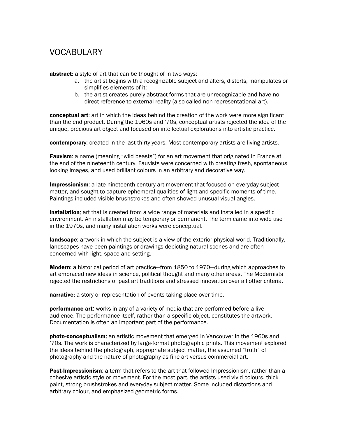### VOCABULARY

abstract: a style of art that can be thought of in two ways:

- a. the artist begins with a recognizable subject and alters, distorts, manipulates or simplifies elements of it;
- b. the artist creates purely abstract forms that are unrecognizable and have no direct reference to external reality (also called non-representational art).

**conceptual art:** art in which the ideas behind the creation of the work were more significant than the end product. During the 1960s and '70s, conceptual artists rejected the idea of the unique, precious art object and focused on intellectual explorations into artistic practice.

contemporary: created in the last thirty years. Most contemporary artists are living artists.

**Fauvism:** a name (meaning "wild beasts") for an art movement that originated in France at the end of the nineteenth century. Fauvists were concerned with creating fresh, spontaneous looking images, and used brilliant colours in an arbitrary and decorative way.

**Impressionism**: a late nineteenth-century art movement that focused on everyday subject matter, and sought to capture ephemeral qualities of light and specific moments of time. Paintings included visible brushstrokes and often showed unusual visual angles.

installation: art that is created from a wide range of materials and installed in a specific environment. An installation may be temporary or permanent. The term came into wide use in the 1970s, and many installation works were conceptual.

landscape: artwork in which the subject is a view of the exterior physical world. Traditionally, landscapes have been paintings or drawings depicting natural scenes and are often concerned with light, space and setting.

Modern: a historical period of art practice—from 1850 to 1970—during which approaches to art embraced new ideas in science, political thought and many other areas. The Modernists rejected the restrictions of past art traditions and stressed innovation over all other criteria.

narrative: a story or representation of events taking place over time.

**performance art**: works in any of a variety of media that are performed before a live audience. The performance itself, rather than a specific object, constitutes the artwork. Documentation is often an important part of the performance.

**photo-conceptualism:** an artistic movement that emerged in Vancouver in the 1960s and '70s. The work is characterized by large-format photographic prints. This movement explored the ideas behind the photograph, appropriate subject matter, the assumed "truth" of photography and the nature of photography as fine art versus commercial art.

Post-Impressionism: a term that refers to the art that followed Impressionism, rather than a cohesive artistic style or movement. For the most part, the artists used vivid colours, thick paint, strong brushstrokes and everyday subject matter. Some included distortions and arbitrary colour, and emphasized geometric forms.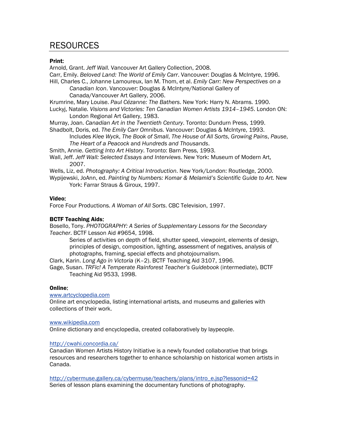### RESOURCES

#### Print:

Arnold, Grant. *Jeff Wall.* Vancouver Art Gallery Collection, 2008.

Carr, Emily. *Beloved Land: The World of Emily Carr*. Vancouver: Douglas & McIntyre, 1996. Hill, Charles C., Johanne Lamoureux, Ian M. Thom, et al. *Emily Carr: New Perspectives on a* 

*Canadian Icon*. Vancouver: Douglas & McIntyre/National Gallery of Canada/Vancouver Art Gallery, 2006.

Krumrine, Mary Louise. *Paul Cézanne: The Bathers*. New York: Harry N. Abrams. 1990. Luckyj, Natalie*. Visions and Victories: Ten Canadian Women Artists 1914–1945*. London ON: London Regional Art Gallery, 1983.

Murray, Joan. *Canadian Art in the Twentieth Century*. Toronto: Dundurn Press, 1999.

Shadbolt, Doris, ed. *The Emily Carr Omnibus.* Vancouver: Douglas & McIntyre, 1993.

Includes *Klee Wyck*, *The Book of Small*, *The House of All Sorts*, *Growing Pains*, *Pause*, *The Heart of a Peacock* and *Hundreds and Thousands*.

Smith, Annie. *Getting Into Art History*. Toronto: Barn Press, 1993.

Wall, Jeff. *Jeff Wall: Selected Essays and Interviews*. New York: Museum of Modern Art, 2007.

Wells, Liz, ed. *Photography: A Critical Introduction*. New York/London: Routledge, 2000.

Wypijewski, JoAnn, ed. *Painting by Numbers: Komar & Melamid's Scientific Guide to Art.* New York: Farrar Straus & Giroux, 1997.

#### Video:

Force Four Productions. *A Woman of All Sorts*. CBC Television, 1997.

#### BCTF Teaching Aids:

Bosello, Tony. *PHOTOGRAPHY: A Series of Supplementary Lessons for the Secondary Teacher*. BCTF Lesson Aid #9654, 1998.

Series of activities on depth of field, shutter speed, viewpoint, elements of design, principles of design, composition, lighting, assessment of negatives, analysis of photographs, framing, special effects and photojournalism.

Clark, Karin. *Long Ago in Victoria* (K–2). BCTF Teaching Aid 3107, 1996.

Gage, Susan. *TRFic! A Temperate Rainforest Teacher's Guidebook* (intermediate), BCTF Teaching Aid 9533, 1998.

#### Online:

#### [www.artcyclopedia.com](http://www.artcyclopedia.com/)

Online art encyclopedia, listing international artists, and museums and galleries with collections of their work.

#### [www.wikipedia.com](http://www.wikipedia.com/)

Online dictionary and encyclopedia, created collaboratively by laypeople.

#### <http://cwahi.concordia.ca/>

Canadian Women Artists History Initiative is a newly founded collaborative that brings resources and researchers together to enhance scholarship on historical women artists in Canada.

[http://cybermuse.gallery.ca/cybermuse/teachers/plans/intro\\_e.jsp?lessonid=42](http://cybermuse.gallery.ca/cybermuse/teachers/plans/intro_e.jsp?lessonid=42) Series of lesson plans examining the documentary functions of photography.